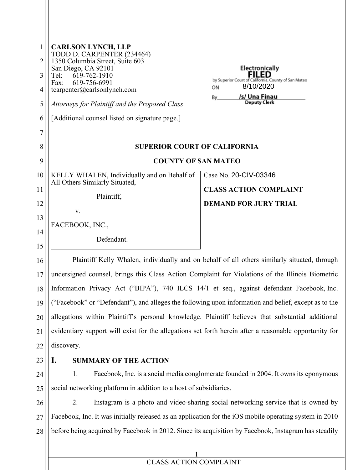| $\mathbf{1}$ | <b>CARLSON LYNCH, LLP</b><br>TODD D. CARPENTER (234464)                                                                                                                                                     |                                                                                              |
|--------------|-------------------------------------------------------------------------------------------------------------------------------------------------------------------------------------------------------------|----------------------------------------------------------------------------------------------|
| 2            | 1350 Columbia Street, Suite 603<br>San Diego, CA 92101                                                                                                                                                      | <b>Electronically</b>                                                                        |
| 3            | 619-762-1910<br>Tel:<br>619-756-6991<br>Fax:                                                                                                                                                                | <b>FILED</b><br>by Superior Court of California, County of San Mateo                         |
| 4            | $t \ncarpenter@carlsonlynch.com$                                                                                                                                                                            | 8/10/2020<br>ON<br>/s/ Una Finau<br>By.                                                      |
| 5            | Attorneys for Plaintiff and the Proposed Class                                                                                                                                                              | <b>Deputy Clerk</b>                                                                          |
| 6            | [Additional counsel listed on signature page.]                                                                                                                                                              |                                                                                              |
| 7            |                                                                                                                                                                                                             |                                                                                              |
| 8            | <b>SUPERIOR COURT OF CALIFORNIA</b>                                                                                                                                                                         |                                                                                              |
| 9            | <b>COUNTY OF SAN MATEO</b>                                                                                                                                                                                  |                                                                                              |
| 10           | KELLY WHALEN, Individually and on Behalf of<br>All Others Similarly Situated,                                                                                                                               | Case No. 20-CIV-03346                                                                        |
| 11           | Plaintiff,                                                                                                                                                                                                  | <b>CLASS ACTION COMPLAINT</b>                                                                |
| 12           | V.                                                                                                                                                                                                          | <b>DEMAND FOR JURY TRIAL</b>                                                                 |
| 13           | FACEBOOK, INC.,                                                                                                                                                                                             |                                                                                              |
| 14           | Defendant.                                                                                                                                                                                                  |                                                                                              |
| 15           |                                                                                                                                                                                                             | Plaintiff Kelly Whalen, individually and on behalf of all others similarly situated, through |
| 16<br>17     |                                                                                                                                                                                                             |                                                                                              |
| 18           | undersigned counsel, brings this Class Action Complaint for Violations of the Illinois Biometric<br>Information Privacy Act ("BIPA"), 740 ILCS 14/1 et seq., against defendant Facebook, Inc.               |                                                                                              |
| 19           | ("Facebook" or "Defendant"), and alleges the following upon information and belief, except as to the                                                                                                        |                                                                                              |
| 20           |                                                                                                                                                                                                             |                                                                                              |
| 21           | allegations within Plaintiff's personal knowledge. Plaintiff believes that substantial additional<br>evidentiary support will exist for the allegations set forth herein after a reasonable opportunity for |                                                                                              |
| 22           | discovery.                                                                                                                                                                                                  |                                                                                              |
| 23           | <b>SUMMARY OF THE ACTION</b><br>I.                                                                                                                                                                          |                                                                                              |
| 24           | 1.                                                                                                                                                                                                          | Facebook, Inc. is a social media conglomerate founded in 2004. It owns its eponymous         |
| 25           | social networking platform in addition to a host of subsidiaries.                                                                                                                                           |                                                                                              |
| 26           | 2.                                                                                                                                                                                                          | Instagram is a photo and video-sharing social networking service that is owned by            |
| 27           | Facebook, Inc. It was initially released as an application for the iOS mobile operating system in 2010                                                                                                      |                                                                                              |
| 28           | before being acquired by Facebook in 2012. Since its acquisition by Facebook, Instagram has steadily                                                                                                        |                                                                                              |
|              |                                                                                                                                                                                                             |                                                                                              |
|              | $\frac{1}{\text{CLASS\,ACTION\, COMPLANT}}$                                                                                                                                                                 |                                                                                              |
|              |                                                                                                                                                                                                             |                                                                                              |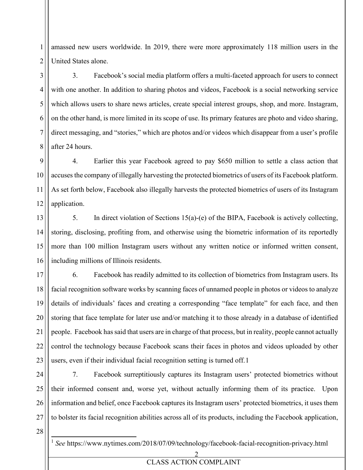1 2 amassed new users worldwide. In 2019, there were more approximately 118 million users in the United States alone.

3. Facebook's social media platform offers a multi-faceted approach for users to connect with one another. In addition to sharing photos and videos, Facebook is a social networking service which allows users to share news articles, create special interest groups, shop, and more. Instagram, on the other hand, is more limited in its scope of use. Its primary features are photo and video sharing, direct messaging, and "stories," which are photos and/or videos which disappear from a user's profile after 24 hours.

9 10 11 12 4. Earlier this year Facebook agreed to pay \$650 million to settle a class action that accuses the company of illegally harvesting the protected biometrics of users of its Facebook platform. As set forth below, Facebook also illegally harvests the protected biometrics of users of its Instagram application.

13 14 15 16 5. In direct violation of Sections 15(a)-(e) of the BIPA, Facebook is actively collecting, storing, disclosing, profiting from, and otherwise using the biometric information of its reportedly more than 100 million Instagram users without any written notice or informed written consent, including millions of Illinois residents.

17 18 19 20 21 22 23 6. Facebook has readily admitted to its collection of biometrics from Instagram users. Its facial recognition software works by scanning faces of unnamed people in photos or videos to analyze details of individuals' faces and creating a corresponding "face template" for each face, and then storing that face template for later use and/or matching it to those already in a database of identified people. Facebook has said that users are in charge of that process, but in reality, people cannot actually control the technology because Facebook scans their faces in photos and videos uploaded by other users, even if their individual facial recognition setting is turned off.1

24 25 26 27 7. Facebook surreptitiously captures its Instagram users' protected biometrics without their informed consent and, worse yet, without actually informing them of its practice. Upon information and belief, once Facebook captures its Instagram users' protected biometrics, it uses them to bolster its facial recognition abilities across all of its products, including the Facebook application,

28

3

4

5

6

7

8

<sup>1</sup> *See* https://www.nytimes.com/2018/07/09/technology/facebook-facial-recognition-privacy.html

2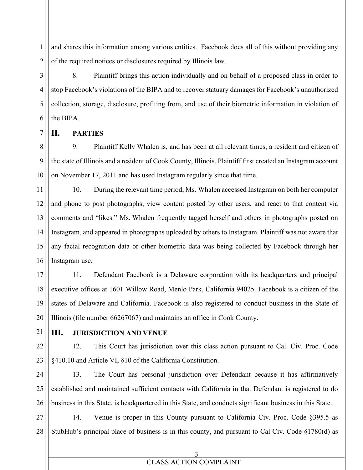1 2 and shares this information among various entities. Facebook does all of this without providing any of the required notices or disclosures required by Illinois law.

8. Plaintiff brings this action individually and on behalf of a proposed class in order to stop Facebook's violations of the BIPA and to recover statuary damages for Facebook's unauthorized collection, storage, disclosure, profiting from, and use of their biometric information in violation of the BIPA.

# **II. PARTIES**

3

4

5

6

7

9

8 10 9. Plaintiff Kelly Whalen is, and has been at all relevant times, a resident and citizen of the state of Illinois and a resident of Cook County, Illinois. Plaintiff first created an Instagram account on November 17, 2011 and has used Instagram regularly since that time.

11 12 13 14 15 16 10. During the relevant time period, Ms. Whalen accessed Instagram on both her computer and phone to post photographs, view content posted by other users, and react to that content via comments and "likes." Ms. Whalen frequently tagged herself and others in photographs posted on Instagram, and appeared in photographs uploaded by others to Instagram. Plaintiff was not aware that any facial recognition data or other biometric data was being collected by Facebook through her Instagram use.

17 18 11. Defendant Facebook is a Delaware corporation with its headquarters and principal

executive offices at 1601 Willow Road, Menlo Park, California 94025. Facebook is a citizen of the states of Delaware and California. Facebook is also registered to conduct business in the State of Illinois (file number 66267067) and maintains an office in Cook County.

21

22

23

19

20

# **III. JURISDICTION AND VENUE**

12. This Court has jurisdiction over this class action pursuant to Cal. Civ. Proc. Code §410.10 and Article VI, §10 of the California Constitution.

24 25 26 13. The Court has personal jurisdiction over Defendant because it has affirmatively established and maintained sufficient contacts with California in that Defendant is registered to do business in this State, is headquartered in this State, and conducts significant business in this State.

27 28 14. Venue is proper in this County pursuant to California Civ. Proc. Code §395.5 as StubHub's principal place of business is in this county, and pursuant to Cal Civ. Code §1780(d) as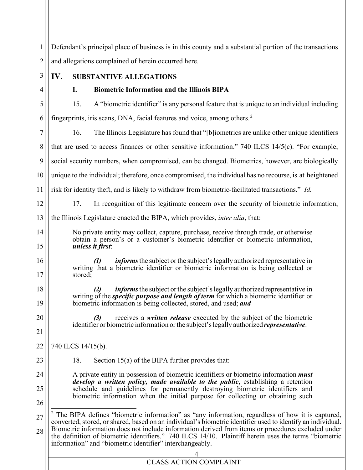1 2 3 4 5 Defendant's principal place of business is in this county and a substantial portion of the transactions and allegations complained of herein occurred here. **IV. SUBSTANTIVE ALLEGATIONS I. Biometric Information and the Illinois BIPA** 15. A "biometric identifier" is any personal feature that is unique to an individual including

6 7 8 9 10 11 12 fingerprints, iris scans, DNA, facial features and voice, among others.<sup>2</sup> 16. The Illinois Legislature has found that "[b]iometrics are unlike other unique identifiers that are used to access finances or other sensitive information." 740 ILCS 14/5(c). "For example, social security numbers, when compromised, can be changed. Biometrics, however, are biologically unique to the individual; therefore, once compromised, the individual has no recourse, is at heightened risk for identity theft, and is likely to withdraw from biometric-facilitated transactions." *Id.*

17. In recognition of this legitimate concern over the security of biometric information,

13 the Illinois Legislature enacted the BIPA, which provides, *inter alia*, that:

No private entity may collect, capture, purchase, receive through trade, or otherwise obtain a person's or a customer's biometric identifier or biometric information, *unless it first*:

*informs* the subject or the subject's legally authorized representative in writing that a biometric identifier or biometric information is being collected or stored:

*(2) informs*the subject orthe subject'slegally authorized representative in writing of the *specific purpose and length of term* for which a biometric identifier or biometric information is being collected, stored, and used; *and*

*(3)* receives a *written release* executed by the subject of the biometric identifier or biometric information or the subject's legally authorized *representative*.

740 ILCS 14/15(b).

18. Section 15(a) of the BIPA further provides that:

A private entity in possession of biometric identifiers or biometric information *must develop a written policy, made available to the public*, establishing a retention schedule and guidelines for permanently destroying biometric identifiers and biometric information when the initial purpose for collecting or obtaining such

26

14

15

16

17

18

19

20

21

22

23

24

<sup>27</sup> 28  $2$  The BIPA defines "biometric information" as "any information, regardless of how it is captured, converted, stored, or shared, based on an individual's biometric identifier used to identify an individual. Biometric information does not include information derived from items or procedures excluded under the definition of biometric identifiers." 740 ILCS 14/10. Plaintiff herein uses the terms "biometric information" and "biometric identifier" interchangeably.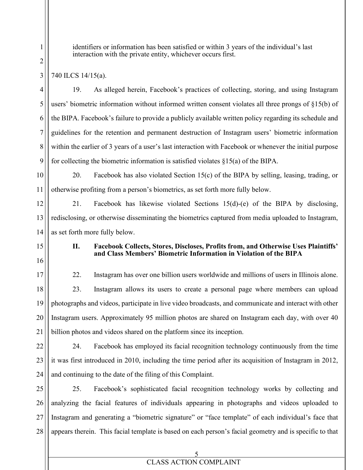identifiers or information has been satisfied or within 3 years of the individual's last interaction with the private entity, whichever occurs first.

740 ILCS 14/15(a).

19. As alleged herein, Facebook's practices of collecting, storing, and using Instagram users' biometric information without informed written consent violates all three prongs of §15(b) of the BIPA. Facebook's failure to provide a publicly available written policy regarding its schedule and guidelines for the retention and permanent destruction of Instagram users' biometric information within the earlier of 3 years of a user's last interaction with Facebook or whenever the initial purpose for collecting the biometric information is satisfied violates §15(a) of the BIPA.

10 11 20. Facebook has also violated Section 15(c) of the BIPA by selling, leasing, trading, or otherwise profiting from a person's biometrics, as set forth more fully below.

12 13 14 21. Facebook has likewise violated Sections 15(d)-(e) of the BIPA by disclosing, redisclosing, or otherwise disseminating the biometrics captured from media uploaded to Instagram, as set forth more fully below.

15

16

# **II. Facebook Collects, Stores, Discloses, Profits from, and Otherwise Uses Plaintiffs' and Class Members' Biometric Information in Violation of the BIPA**

17 18 19 20 21 22. Instagram has over one billion users worldwide and millions of users in Illinois alone. 23. Instagram allows its users to create a personal page where members can upload photographs and videos, participate in live video broadcasts, and communicate and interact with other Instagram users. Approximately 95 million photos are shared on Instagram each day, with over 40 billion photos and videos shared on the platform since its inception.

22 23 24 24. Facebook has employed its facial recognition technology continuously from the time it was first introduced in 2010, including the time period after its acquisition of Instagram in 2012, and continuing to the date of the filing of this Complaint.

25 26 27 28 25. Facebook's sophisticated facial recognition technology works by collecting and analyzing the facial features of individuals appearing in photographs and videos uploaded to Instagram and generating a "biometric signature" or "face template" of each individual's face that appears therein. This facial template is based on each person's facial geometry and is specific to that

> 5 CLASS ACTION COMPLAINT

6

7

8

9

1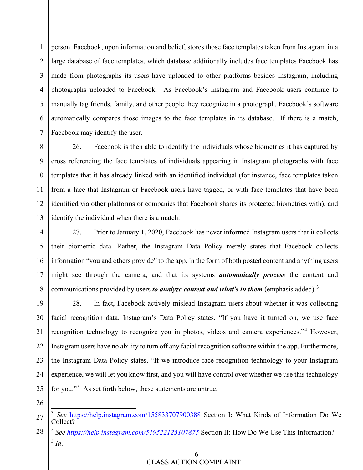1 2 3 4 5 6 7 person. Facebook, upon information and belief, stores those face templates taken from Instagram in a large database of face templates, which database additionally includes face templates Facebook has made from photographs its users have uploaded to other platforms besides Instagram, including photographs uploaded to Facebook. As Facebook's Instagram and Facebook users continue to manually tag friends, family, and other people they recognize in a photograph, Facebook's software automatically compares those images to the face templates in its database. If there is a match, Facebook may identify the user.

8 9 10 11 12 13 26. Facebook is then able to identify the individuals whose biometrics it has captured by cross referencing the face templates of individuals appearing in Instagram photographs with face templates that it has already linked with an identified individual (for instance, face templates taken from a face that Instagram or Facebook users have tagged, or with face templates that have been identified via other platforms or companies that Facebook shares its protected biometrics with), and identify the individual when there is a match.

14 15 16 17 18 27. Prior to January 1, 2020, Facebook has never informed Instagram users that it collects their biometric data. Rather, the Instagram Data Policy merely states that Facebook collects information "you and others provide" to the app, in the form of both posted content and anything users might see through the camera, and that its systems *automatically process* the content and communications provided by users *to analyze context and what's in them* (emphasis added).<sup>3</sup>

19 20 21 22 23 24 25 28. In fact, Facebook actively mislead Instagram users about whether it was collecting facial recognition data. Instagram's Data Policy states, "If you have it turned on, we use face recognition technology to recognize you in photos, videos and camera experiences."<sup>4</sup> However, Instagram users have no ability to turn off any facial recognition software within the app. Furthermore, the Instagram Data Policy states, "If we introduce face-recognition technology to your Instagram experience, we will let you know first, and you will have control over whether we use this technology for you."<sup>5</sup> As set forth below, these statements are untrue.

<sup>27</sup> <sup>3</sup> *See* https://help.instagram.com/155833707900388 Section I: What Kinds of Information Do We Collect?

<sup>28</sup> <sup>4</sup> *See https://help.instagram.com/519522125107875* Section II: How Do We Use This Information? <sup>5</sup> *Id*.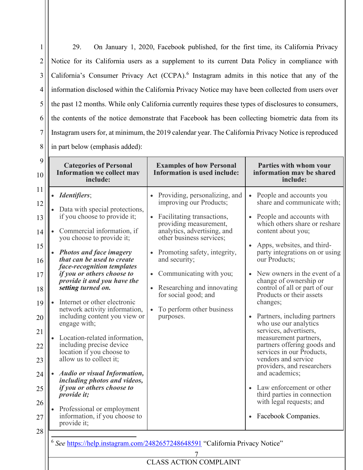1 2 3 4 5 6 7 8 29. On January 1, 2020, Facebook published, for the first time, its California Privacy Notice for its California users as a supplement to its current Data Policy in compliance with California's Consumer Privacy Act (CCPA).<sup>6</sup> Instagram admits in this notice that any of the information disclosed within the California Privacy Notice may have been collected from users over the past 12 months. While only California currently requires these types of disclosures to consumers, the contents of the notice demonstrate that Facebook has been collecting biometric data from its Instagram users for, at minimum, the 2019 calendar year. The California Privacy Notice is reproduced in part below (emphasis added):

| 9<br>10                                                                                            | <b>Categories of Personal</b><br><b>Information we collect may</b><br>include:                                                                                                                                                                                                                                                                                                                                                                                                                                                                                                                                                                                                                                                                                                                                                                                                             | <b>Examples of how Personal</b><br><b>Information is used include:</b>                                                                                                                                                                                                                                                                                                                                                   | Parties with whom your<br>information may be shared<br>include:                                                                                                                                                                                                                                                                                                                                                                                                                                                                                                                                                                                                                                                                                                     |
|----------------------------------------------------------------------------------------------------|--------------------------------------------------------------------------------------------------------------------------------------------------------------------------------------------------------------------------------------------------------------------------------------------------------------------------------------------------------------------------------------------------------------------------------------------------------------------------------------------------------------------------------------------------------------------------------------------------------------------------------------------------------------------------------------------------------------------------------------------------------------------------------------------------------------------------------------------------------------------------------------------|--------------------------------------------------------------------------------------------------------------------------------------------------------------------------------------------------------------------------------------------------------------------------------------------------------------------------------------------------------------------------------------------------------------------------|---------------------------------------------------------------------------------------------------------------------------------------------------------------------------------------------------------------------------------------------------------------------------------------------------------------------------------------------------------------------------------------------------------------------------------------------------------------------------------------------------------------------------------------------------------------------------------------------------------------------------------------------------------------------------------------------------------------------------------------------------------------------|
| 11<br>12<br>13<br>14<br>15<br>16<br>17<br>18<br>19<br>20<br>21<br>22<br>23<br>24<br>25<br>26<br>27 | <i>Identifiers</i> ;<br>$\bullet$<br>Data with special protections,<br>$\bullet$<br>if you choose to provide it;<br>Commercial information, if<br>$\bullet$<br>you choose to provide it;<br><b>Photos and face imagery</b><br>$\bullet$<br>that can be used to create<br>face-recognition templates<br>if you or others choose to<br>provide it and you have the<br>setting turned on.<br>Internet or other electronic<br>$\bullet$<br>network activity information,<br>including content you view or<br>engage with;<br>Location-related information,<br>$\bullet$<br>including precise device<br>location if you choose to<br>allow us to collect it;<br><b>Audio or visual Information,</b><br>$\bullet$<br>including photos and videos,<br>if you or others choose to<br><i>provide it;</i><br>Professional or employment<br>$\bullet$<br>information, if you choose to<br>provide it; | Providing, personalizing, and<br>improving our Products;<br>Facilitating transactions,<br>$\bullet$<br>providing measurement,<br>analytics, advertising, and<br>other business services;<br>Promoting safety, integrity,<br>$\bullet$<br>and security;<br>Communicating with you;<br>$\bullet$<br>Researching and innovating<br>$\bullet$<br>for social good; and<br>To perform other business<br>$\bullet$<br>purposes. | People and accounts you<br>$\bullet$<br>share and communicate with;<br>People and accounts with<br>which others share or reshare<br>content about you;<br>Apps, websites, and third-<br>party integrations on or using<br>our Products;<br>New owners in the event of a<br>change of ownership or<br>control of all or part of our<br>Products or their assets<br>changes;<br>Partners, including partners<br>$\bullet$<br>who use our analytics<br>services, advertisers,<br>measurement partners,<br>partners offering goods and<br>services in our Products,<br>vendors and service<br>providers, and researchers<br>and academics;<br>Law enforcement or other<br>$\bullet$<br>third parties in connection<br>with legal requests; and<br>• Facebook Companies. |
| 28                                                                                                 | 6                                                                                                                                                                                                                                                                                                                                                                                                                                                                                                                                                                                                                                                                                                                                                                                                                                                                                          | See https://help.instagram.com/2482657248648591 "California Privacy Notice"<br><b>CLASS ACTION COMPLAINT</b>                                                                                                                                                                                                                                                                                                             |                                                                                                                                                                                                                                                                                                                                                                                                                                                                                                                                                                                                                                                                                                                                                                     |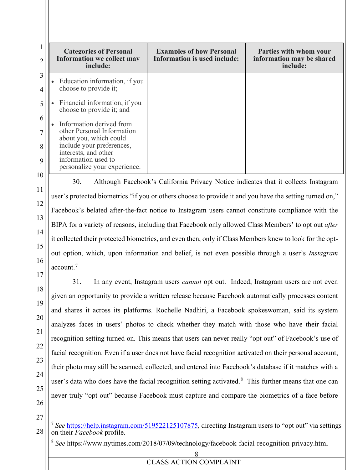|    | <b>Categories of Personal</b><br><b>Information we collect may</b><br>include: | <b>Examples of how Personal</b><br><b>Information is used include:</b> | Parties with whom your<br>information may be shared<br>include: |
|----|--------------------------------------------------------------------------------|------------------------------------------------------------------------|-----------------------------------------------------------------|
| 3  | Education information, if you<br>choose to provide it;                         |                                                                        |                                                                 |
|    | Financial information, if you<br>choose to provide it; and                     |                                                                        |                                                                 |
| 6  | Information derived from                                                       |                                                                        |                                                                 |
|    | other Personal Information<br>about you, which could                           |                                                                        |                                                                 |
| 8  | include your preferences,<br>interests, and other                              |                                                                        |                                                                 |
| 9  | information used to<br>personalize your experience.                            |                                                                        |                                                                 |
| 10 |                                                                                |                                                                        |                                                                 |

30. Although Facebook's California Privacy Notice indicates that it collects Instagram user's protected biometrics "if you or others choose to provide it and you have the setting turned on," Facebook's belated after-the-fact notice to Instagram users cannot constitute compliance with the BIPA for a variety of reasons, including that Facebook only allowed Class Members' to opt out *after* it collected their protected biometrics, and even then, only if Class Members knew to look for the optout option, which, upon information and belief, is not even possible through a user's *Instagram*  account.<sup>7</sup>

31. In any event, Instagram users *cannot* opt out. Indeed, Instagram users are not even given an opportunity to provide a written release because Facebook automatically processes content and shares it across its platforms. Rochelle Nadhiri, a Facebook spokeswoman, said its system analyzes faces in users' photos to check whether they match with those who have their facial recognition setting turned on. This means that users can never really "opt out" of Facebook's use of facial recognition. Even if a user does not have facial recognition activated on their personal account, their photo may still be scanned, collected, and entered into Facebook's database if it matches with a user's data who does have the facial recognition setting activated.<sup>8</sup> This further means that one can never truly "opt out" because Facebook must capture and compare the biometrics of a face before

27

28

11

12

13

14

15

16

17

18

19

20

21

22

23

24

25

<sup>7</sup> *See* https://help.instagram.com/519522125107875, directing Instagram users to "opt out" via settings on their *Facebook* profile.

<sup>8</sup> *See* https://www.nytimes.com/2018/07/09/technology/facebook-facial-recognition-privacy.html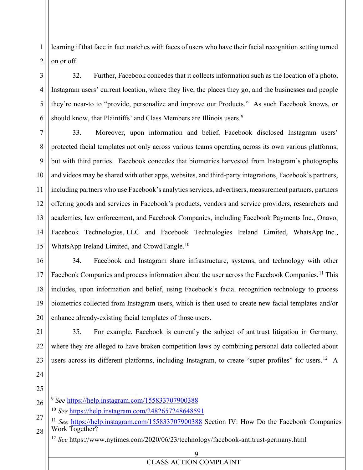1 2 learning if that face in fact matches with faces of users who have their facial recognition setting turned on or off.

32. Further, Facebook concedes that it collects information such as the location of a photo, Instagram users' current location, where they live, the places they go, and the businesses and people they're near-to to "provide, personalize and improve our Products." As such Facebook knows, or should know, that Plaintiffs' and Class Members are Illinois users.<sup>9</sup>

7 8 9 10 11 12 13 14 15 33. Moreover, upon information and belief, Facebook disclosed Instagram users' protected facial templates not only across various teams operating across its own various platforms, but with third parties. Facebook concedes that biometrics harvested from Instagram's photographs and videos may be shared with other apps, websites, and third-party integrations, Facebook's partners, including partners who use Facebook's analytics services, advertisers, measurement partners, partners offering goods and services in Facebook's products, vendors and service providers, researchers and academics, law enforcement, and Facebook Companies, including Facebook Payments Inc., Onavo, Facebook Technologies, LLC and Facebook Technologies Ireland Limited, WhatsApp Inc., WhatsApp Ireland Limited, and CrowdTangle.<sup>10</sup>

16 17 18 19 20 34. Facebook and Instagram share infrastructure, systems, and technology with other Facebook Companies and process information about the user across the Facebook Companies.<sup>11</sup> This includes, upon information and belief, using Facebook's facial recognition technology to process biometrics collected from Instagram users, which is then used to create new facial templates and/or enhance already-existing facial templates of those users.

21 22 23 35. For example, Facebook is currently the subject of antitrust litigation in Germany, where they are alleged to have broken competition laws by combining personal data collected about users across its different platforms, including Instagram, to create "super profiles" for users.<sup>12</sup> A

26 <sup>9</sup> *See* https://help.instagram.com/155833707900388

3

4

5

6

24

25

<sup>10</sup> *See* https://help.instagram.com/2482657248648591

27 28 <sup>11</sup> See https://help.instagram.com/155833707900388 Section IV: How Do the Facebook Companies Work Together?

<sup>12</sup> *See* https://www.nytimes.com/2020/06/23/technology/facebook-antitrust-germany.html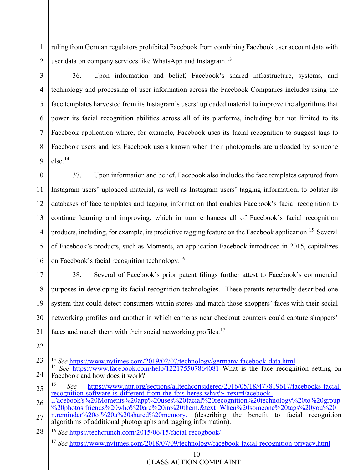1 2 ruling from German regulators prohibited Facebook from combining Facebook user account data with user data on company services like WhatsApp and Instagram.<sup>13</sup>

36. Upon information and belief, Facebook's shared infrastructure, systems, and technology and processing of user information across the Facebook Companies includes using the face templates harvested from its Instagram's users' uploaded material to improve the algorithms that power its facial recognition abilities across all of its platforms, including but not limited to its Facebook application where, for example, Facebook uses its facial recognition to suggest tags to Facebook users and lets Facebook users known when their photographs are uploaded by someone else.14

10 11 12 13 14 15 16 37. Upon information and belief, Facebook also includes the face templates captured from Instagram users' uploaded material, as well as Instagram users' tagging information, to bolster its databases of face templates and tagging information that enables Facebook's facial recognition to continue learning and improving, which in turn enhances all of Facebook's facial recognition products, including, for example, its predictive tagging feature on the Facebook application.15 Several of Facebook's products, such as Moments, an application Facebook introduced in 2015, capitalizes on Facebook's facial recognition technology.<sup>16</sup>

17 18 19 20 21 38. Several of Facebook's prior patent filings further attest to Facebook's commercial purposes in developing its facial recognition technologies. These patents reportedly described one system that could detect consumers within stores and match those shoppers' faces with their social networking profiles and another in which cameras near checkout counters could capture shoppers' faces and match them with their social networking profiles.<sup>17</sup>

22

3

4

5

6

7

8

9

- 23 <sup>13</sup> *See* https://www.nytimes.com/2019/02/07/technology/germany-facebook-data.html
- 24 <sup>14</sup> *See* https://www.facebook.com/help/122175507864081 What is the face recognition setting on Facebook and how does it work?
- 25 15 *See* https://www.npr.org/sections/alltechconsidered/2016/05/18/477819617/facebooks-facial-<br>recognition-software-is-different-from-the-fbis-heres-why#:~:text=Facebook-
- 26  $r_{\rm re}$ Facebook's%20Moments%20app%20uses%20facial%20recognition%20technology%20to%20group  $\frac{6}{20}$  20photos,friends%20who%20are%20in%20them.&text=When%20someone%20tags%20you%20i n,reminder%20of%20a%20shared%20memory. (describing the benefit to facial recognition
- 27 algorithms of additional photographs and tagging information).

28 <sup>16</sup> *See* https://techcrunch.com/2015/06/15/facial-recogbook/

<sup>17</sup> *See* https://www.nytimes.com/2018/07/09/technology/facebook-facial-recognition-privacy.html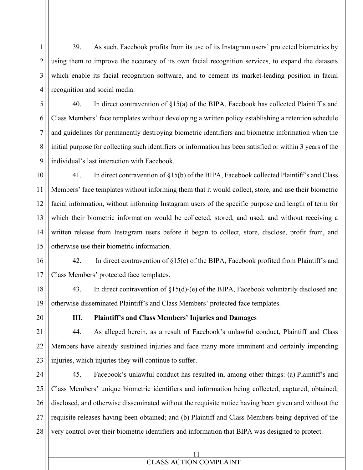39. As such, Facebook profits from its use of its Instagram users' protected biometrics by using them to improve the accuracy of its own facial recognition services, to expand the datasets which enable its facial recognition software, and to cement its market-leading position in facial recognition and social media.

40. In direct contravention of §15(a) of the BIPA, Facebook has collected Plaintiff's and Class Members' face templates without developing a written policy establishing a retention schedule and guidelines for permanently destroying biometric identifiers and biometric information when the initial purpose for collecting such identifiers or information has been satisfied or within 3 years of the individual's last interaction with Facebook.

10 11 12 13 14 15 41. In direct contravention of §15(b) of the BIPA, Facebook collected Plaintiff's and Class Members' face templates without informing them that it would collect, store, and use their biometric facial information, without informing Instagram users of the specific purpose and length of term for which their biometric information would be collected, stored, and used, and without receiving a written release from Instagram users before it began to collect, store, disclose, profit from, and otherwise use their biometric information.

16 17 42. In direct contravention of §15(c) of the BIPA, Facebook profited from Plaintiff's and Class Members' protected face templates.

18 19 43. In direct contravention of §15(d)-(e) of the BIPA, Facebook voluntarily disclosed and otherwise disseminated Plaintiff's and Class Members' protected face templates.

20

1

2

3

4

5

6

7

8

9

# **III. Plaintiff's and Class Members' Injuries and Damages**

21 22 23 44. As alleged herein, as a result of Facebook's unlawful conduct, Plaintiff and Class Members have already sustained injuries and face many more imminent and certainly impending injuries, which injuries they will continue to suffer.

24 25 26 27 28 45. Facebook's unlawful conduct has resulted in, among other things: (a) Plaintiff's and Class Members' unique biometric identifiers and information being collected, captured, obtained, disclosed, and otherwise disseminated without the requisite notice having been given and without the requisite releases having been obtained; and (b) Plaintiff and Class Members being deprived of the very control over their biometric identifiers and information that BIPA was designed to protect.

# CLASS ACTION COMPLAINT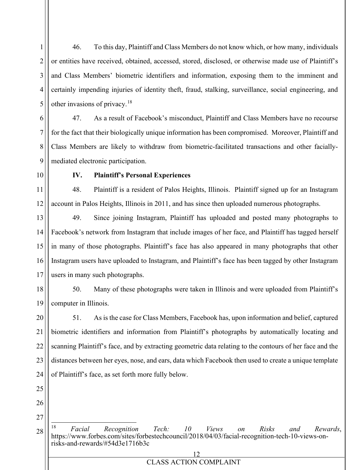46. To this day, Plaintiff and Class Members do not know which, or how many, individuals or entities have received, obtained, accessed, stored, disclosed, or otherwise made use of Plaintiff's and Class Members' biometric identifiers and information, exposing them to the imminent and certainly impending injuries of identity theft, fraud, stalking, surveillance, social engineering, and other invasions of privacy.<sup>18</sup>

6 7 8 9 47. As a result of Facebook's misconduct, Plaintiff and Class Members have no recourse for the fact that their biologically unique information has been compromised. Moreover, Plaintiff and Class Members are likely to withdraw from biometric-facilitated transactions and other faciallymediated electronic participation.

10

11

12

1

2

3

4

5

## **IV. Plaintiff's Personal Experiences**

48. Plaintiff is a resident of Palos Heights, Illinois. Plaintiff signed up for an Instagram account in Palos Heights, Illinois in 2011, and has since then uploaded numerous photographs.

13 14 15 16 17 49. Since joining Instagram, Plaintiff has uploaded and posted many photographs to Facebook's network from Instagram that include images of her face, and Plaintiff has tagged herself in many of those photographs. Plaintiff's face has also appeared in many photographs that other Instagram users have uploaded to Instagram, and Plaintiff's face has been tagged by other Instagram users in many such photographs.

18 19 50. Many of these photographs were taken in Illinois and were uploaded from Plaintiff's computer in Illinois.

20 21 22 23 24 51. As is the case for Class Members, Facebook has, upon information and belief, captured biometric identifiers and information from Plaintiff's photographs by automatically locating and scanning Plaintiff's face, and by extracting geometric data relating to the contours of her face and the distances between her eyes, nose, and ears, data which Facebook then used to create a unique template of Plaintiff's face, as set forth more fully below.

- 25
- 26

27

28

<sup>18</sup> *Facial Recognition Tech: 10 Views on Risks and Rewards*, https://www.forbes.com/sites/forbestechcouncil/2018/04/03/facial-recognition-tech-10-views-on- risks-and-rewards/#54d3e1716b3c

| <b>CLASS ACTION COMPLAINT</b> |
|-------------------------------|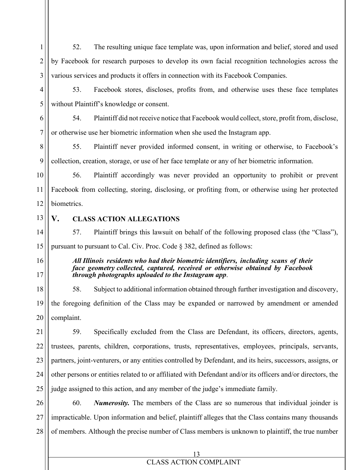1 2 3 52. The resulting unique face template was, upon information and belief, stored and used by Facebook for research purposes to develop its own facial recognition technologies across the various services and products it offers in connection with its Facebook Companies.

4 5 53. Facebook stores, discloses, profits from, and otherwise uses these face templates without Plaintiff's knowledge or consent.

6 7 54. Plaintiff did not receive notice that Facebook would collect, store, profit from, disclose, or otherwise use her biometric information when she used the Instagram app.

8 9 55. Plaintiff never provided informed consent, in writing or otherwise, to Facebook's collection, creation, storage, or use of her face template or any of her biometric information.

10

11

12

56. Plaintiff accordingly was never provided an opportunity to prohibit or prevent Facebook from collecting, storing, disclosing, or profiting from, or otherwise using her protected biometrics.

13

# **V. CLASS ACTION ALLEGATIONS**

14 15 57. Plaintiff brings this lawsuit on behalf of the following proposed class (the "Class"), pursuant to pursuant to Cal. Civ. Proc. Code § 382, defined as follows:

16

17

## *All Illinois residents who had their biometric identifiers, including scans of their face geometry collected, captured, received or otherwise obtained by Facebook through photographs uploaded to the Instagram app*.

18 19 20 58. Subject to additional information obtained through further investigation and discovery, the foregoing definition of the Class may be expanded or narrowed by amendment or amended complaint.

21 22 23 24 25 59. Specifically excluded from the Class are Defendant, its officers, directors, agents, trustees, parents, children, corporations, trusts, representatives, employees, principals, servants, partners, joint-venturers, or any entities controlled by Defendant, and its heirs, successors, assigns, or other persons or entities related to or affiliated with Defendant and/or its officers and/or directors, the judge assigned to this action, and any member of the judge's immediate family.

26 27 28 60. *Numerosity.* The members of the Class are so numerous that individual joinder is impracticable. Upon information and belief, plaintiff alleges that the Class contains many thousands of members. Although the precise number of Class members is unknown to plaintiff, the true number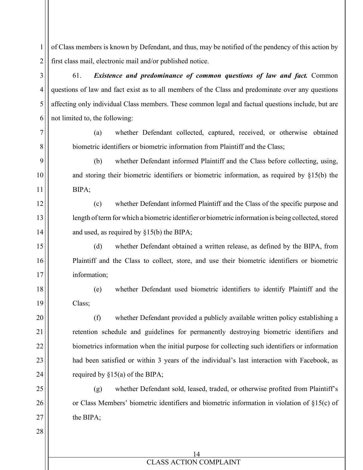of Class members is known by Defendant, and thus, may be notified of the pendency of this action by first class mail, electronic mail and/or published notice.

1

2

3

4

5

6

7

8

9

10

11

12

13

14

15

16

17

18

19

20

21

22

23

24

25

26

27

28

61. *Existence and predominance of common questions of law and fact.* Common questions of law and fact exist as to all members of the Class and predominate over any questions affecting only individual Class members. These common legal and factual questions include, but are not limited to, the following:

(a) whether Defendant collected, captured, received, or otherwise obtained biometric identifiers or biometric information from Plaintiff and the Class;

(b) whether Defendant informed Plaintiff and the Class before collecting, using, and storing their biometric identifiers or biometric information, as required by §15(b) the BIPA;

(c) whether Defendant informed Plaintiff and the Class of the specific purpose and length of term for which a biometric identifier or biometric information is being collected, stored and used, as required by §15(b) the BIPA;

(d) whether Defendant obtained a written release, as defined by the BIPA, from Plaintiff and the Class to collect, store, and use their biometric identifiers or biometric information;

(e) whether Defendant used biometric identifiers to identify Plaintiff and the Class;

(f) whether Defendant provided a publicly available written policy establishing a retention schedule and guidelines for permanently destroying biometric identifiers and biometrics information when the initial purpose for collecting such identifiers or information had been satisfied or within 3 years of the individual's last interaction with Facebook, as required by §15(a) of the BIPA;

(g) whether Defendant sold, leased, traded, or otherwise profited from Plaintiff's or Class Members' biometric identifiers and biometric information in violation of §15(c) of the BIPA;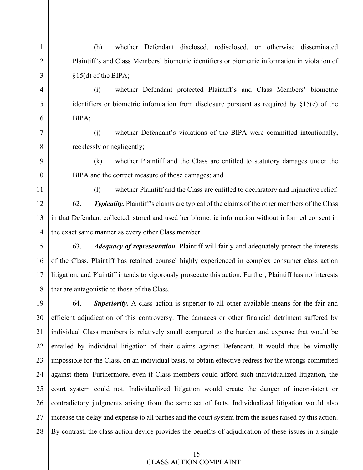(h) whether Defendant disclosed, redisclosed, or otherwise disseminated Plaintiff's and Class Members' biometric identifiers or biometric information in violation of §15(d) of the BIPA;

1

2

3

4

5

6

7

8

9

10

11

(i) whether Defendant protected Plaintiff's and Class Members' biometric identifiers or biometric information from disclosure pursuant as required by §15(e) of the BIPA;

(j) whether Defendant's violations of the BIPA were committed intentionally, recklessly or negligently;

(k) whether Plaintiff and the Class are entitled to statutory damages under the BIPA and the correct measure of those damages; and

(l) whether Plaintiff and the Class are entitled to declaratory and injunctive relief.

12 13 14 62. *Typicality.* Plaintiff's claims are typical of the claims of the other members of the Class in that Defendant collected, stored and used her biometric information without informed consent in the exact same manner as every other Class member.

15 16 17 18 63. *Adequacy of representation.* Plaintiff will fairly and adequately protect the interests of the Class. Plaintiff has retained counsel highly experienced in complex consumer class action litigation, and Plaintiff intends to vigorously prosecute this action. Further, Plaintiff has no interests that are antagonistic to those of the Class.

19 20 21 22 23 24 25 26 27 28 64. *Superiority.* A class action is superior to all other available means for the fair and efficient adjudication of this controversy. The damages or other financial detriment suffered by individual Class members is relatively small compared to the burden and expense that would be entailed by individual litigation of their claims against Defendant. It would thus be virtually impossible for the Class, on an individual basis, to obtain effective redress for the wrongs committed against them. Furthermore, even if Class members could afford such individualized litigation, the court system could not. Individualized litigation would create the danger of inconsistent or contradictory judgments arising from the same set of facts. Individualized litigation would also increase the delay and expense to all parties and the court system from the issues raised by this action. By contrast, the class action device provides the benefits of adjudication of these issues in a single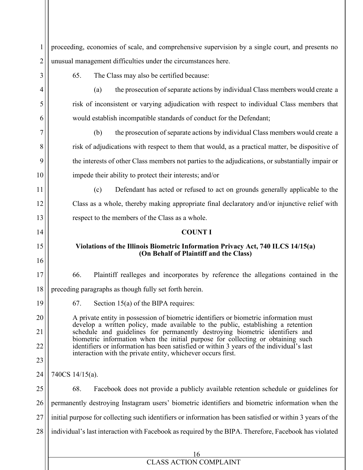| 1              | proceeding, economies of scale, and comprehensive supervision by a single court, and presents no                                                                            |  |
|----------------|-----------------------------------------------------------------------------------------------------------------------------------------------------------------------------|--|
| $\overline{2}$ | unusual management difficulties under the circumstances here.                                                                                                               |  |
| 3              | The Class may also be certified because:<br>65.                                                                                                                             |  |
| 4              | the prosecution of separate actions by individual Class members would create a<br>(a)                                                                                       |  |
| 5              | risk of inconsistent or varying adjudication with respect to individual Class members that                                                                                  |  |
| 6              | would establish incompatible standards of conduct for the Defendant;                                                                                                        |  |
| 7              | the prosecution of separate actions by individual Class members would create a<br>(b)                                                                                       |  |
| 8              | risk of adjudications with respect to them that would, as a practical matter, be dispositive of                                                                             |  |
| 9              | the interests of other Class members not parties to the adjudications, or substantially impair or                                                                           |  |
| 10             | impede their ability to protect their interests; and/or                                                                                                                     |  |
| 11             | (c)<br>Defendant has acted or refused to act on grounds generally applicable to the                                                                                         |  |
| 12             | Class as a whole, thereby making appropriate final declaratory and/or injunctive relief with                                                                                |  |
| 13             | respect to the members of the Class as a whole.                                                                                                                             |  |
| 14             | <b>COUNT I</b>                                                                                                                                                              |  |
| 15             | Violations of the Illinois Biometric Information Privacy Act, 740 ILCS 14/15(a)                                                                                             |  |
| 16             | (On Behalf of Plaintiff and the Class)                                                                                                                                      |  |
| 17             | Plaintiff realleges and incorporates by reference the allegations contained in the<br>66.                                                                                   |  |
| 18             | preceding paragraphs as though fully set forth herein.                                                                                                                      |  |
| 19             | 67.<br>Section $15(a)$ of the BIPA requires:                                                                                                                                |  |
| 20             | A private entity in possession of biometric identifiers or biometric information must                                                                                       |  |
| 21             | develop a written policy, made available to the public, establishing a retention<br>schedule and guidelines for permanently destroying biometric identifiers and            |  |
| 22             | biometric information when the initial purpose for collecting or obtaining such<br>identifiers or information has been satisfied or within 3 years of the individual's last |  |
| 23             | interaction with the private entity, whichever occurs first.                                                                                                                |  |
| 24             | 740CS 14/15(a).                                                                                                                                                             |  |
| 25             | 68.<br>Facebook does not provide a publicly available retention schedule or guidelines for                                                                                  |  |
| 26             | permanently destroying Instagram users' biometric identifiers and biometric information when the                                                                            |  |
| 27             | initial purpose for collecting such identifiers or information has been satisfied or within 3 years of the                                                                  |  |
| 28             | individual's last interaction with Facebook as required by the BIPA. Therefore, Facebook has violated                                                                       |  |
|                |                                                                                                                                                                             |  |
|                | 16                                                                                                                                                                          |  |
|                | <b>CLASS ACTION COMPLAINT</b>                                                                                                                                               |  |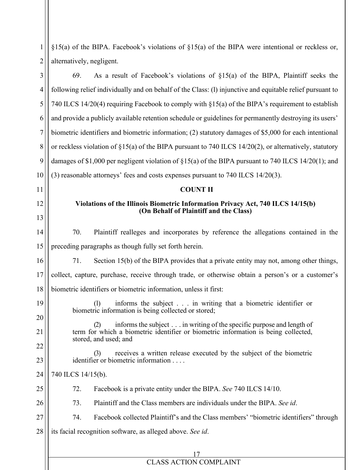| 1              | $\S15(a)$ of the BIPA. Facebook's violations of $\S15(a)$ of the BIPA were intentional or reckless or,                                               |  |  |
|----------------|------------------------------------------------------------------------------------------------------------------------------------------------------|--|--|
| 2              | alternatively, negligent.                                                                                                                            |  |  |
| 3              | 69.<br>As a result of Facebook's violations of $\S15(a)$ of the BIPA, Plaintiff seeks the                                                            |  |  |
| 4              | following relief individually and on behalf of the Class: (1) injunctive and equitable relief pursuant to                                            |  |  |
| 5              | 740 ILCS 14/20(4) requiring Facebook to comply with §15(a) of the BIPA's requirement to establish                                                    |  |  |
| 6              | and provide a publicly available retention schedule or guidelines for permanently destroying its users'                                              |  |  |
| $\overline{7}$ | biometric identifiers and biometric information; (2) statutory damages of \$5,000 for each intentional                                               |  |  |
| 8              | or reckless violation of $\S15(a)$ of the BIPA pursuant to 740 ILCS 14/20(2), or alternatively, statutory                                            |  |  |
| 9              | damages of \$1,000 per negligent violation of $\S15(a)$ of the BIPA pursuant to 740 ILCS 14/20(1); and                                               |  |  |
| 10             | (3) reasonable attorneys' fees and costs expenses pursuant to 740 ILCS 14/20(3).                                                                     |  |  |
| 11             | <b>COUNT II</b>                                                                                                                                      |  |  |
| 12             | Violations of the Illinois Biometric Information Privacy Act, 740 ILCS 14/15(b)<br>(On Behalf of Plaintiff and the Class)                            |  |  |
| 13             |                                                                                                                                                      |  |  |
| 14             | Plaintiff realleges and incorporates by reference the allegations contained in the<br>70.                                                            |  |  |
| 15             | preceding paragraphs as though fully set forth herein.                                                                                               |  |  |
| 16             | 71.<br>Section 15(b) of the BIPA provides that a private entity may not, among other things,                                                         |  |  |
| 17             | collect, capture, purchase, receive through trade, or otherwise obtain a person's or a customer's                                                    |  |  |
| 18             | biometric identifiers or biometric information, unless it first:                                                                                     |  |  |
| 19             | informs the subject in writing that a biometric identifier or<br>$\left( \frac{1}{2} \right)$<br>biometric information is being collected or stored; |  |  |
| 20             | informs the subject in writing of the specific purpose and length of<br>(2)                                                                          |  |  |
| 21             | term for which a biometric identifier or biometric information is being collected,<br>stored, and used; and                                          |  |  |
| 22             | receives a written release executed by the subject of the biometric<br>(3)                                                                           |  |  |
| 23             | identifier or biometric information                                                                                                                  |  |  |
| 24             | 740 ILCS 14/15(b).                                                                                                                                   |  |  |
| 25             | 72.<br>Facebook is a private entity under the BIPA. See 740 ILCS 14/10.                                                                              |  |  |
| 26             | 73.<br>Plaintiff and the Class members are individuals under the BIPA. See id.                                                                       |  |  |
| 27             | Facebook collected Plaintiff's and the Class members' "biometric identifiers" through<br>74.                                                         |  |  |
| 28             | its facial recognition software, as alleged above. See id.                                                                                           |  |  |
|                | 17                                                                                                                                                   |  |  |
|                | <b>CLASS ACTION COMPLAINT</b>                                                                                                                        |  |  |
|                |                                                                                                                                                      |  |  |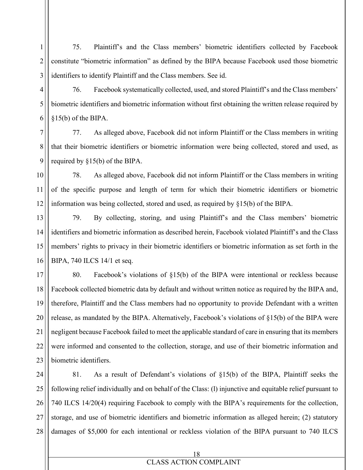1 2 3 75. Plaintiff's and the Class members' biometric identifiers collected by Facebook constitute "biometric information" as defined by the BIPA because Facebook used those biometric identifiers to identify Plaintiff and the Class members. See id.

76. Facebook systematically collected, used, and stored Plaintiff's and the Class members' biometric identifiers and biometric information without first obtaining the written release required by §15(b) of the BIPA.

4

5

6

7

8

9

77. As alleged above, Facebook did not inform Plaintiff or the Class members in writing that their biometric identifiers or biometric information were being collected, stored and used, as required by §15(b) of the BIPA.

10 11 12 78. As alleged above, Facebook did not inform Plaintiff or the Class members in writing of the specific purpose and length of term for which their biometric identifiers or biometric information was being collected, stored and used, as required by §15(b) of the BIPA.

13 14 15 16 79. By collecting, storing, and using Plaintiff's and the Class members' biometric identifiers and biometric information as described herein, Facebook violated Plaintiff's and the Class members' rights to privacy in their biometric identifiers or biometric information as set forth in the BIPA, 740 ILCS 14/1 et seq.

17 18 19 20 21 22 23 80. Facebook's violations of §15(b) of the BIPA were intentional or reckless because Facebook collected biometric data by default and without written notice as required by the BIPA and, therefore, Plaintiff and the Class members had no opportunity to provide Defendant with a written release, as mandated by the BIPA. Alternatively, Facebook's violations of §15(b) of the BIPA were negligent because Facebook failed to meet the applicable standard of care in ensuring that its members were informed and consented to the collection, storage, and use of their biometric information and biometric identifiers.

24 25 26 27 28 81. As a result of Defendant's violations of §15(b) of the BIPA, Plaintiff seeks the following relief individually and on behalf of the Class: (l) injunctive and equitable relief pursuant to 740 ILCS 14/20(4) requiring Facebook to comply with the BIPA's requirements for the collection, storage, and use of biometric identifiers and biometric information as alleged herein; (2) statutory damages of \$5,000 for each intentional or reckless violation of the BIPA pursuant to 740 ILCS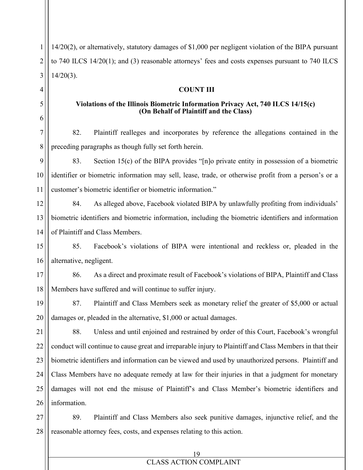1 2 3 4 5 6 7 8 9 10 11 12 13 14 15 16 17 18 19 20 21 22 23 24 25 26 27 28 14/20(2), or alternatively, statutory damages of \$1,000 per negligent violation of the BIPA pursuant to 740 ILCS 14/20(1); and (3) reasonable attorneys' fees and costs expenses pursuant to 740 ILCS  $14/20(3)$ . **COUNT III Violations of the Illinois Biometric Information Privacy Act, 740 ILCS 14/15(c) (On Behalf of Plaintiff and the Class)** 82. Plaintiff realleges and incorporates by reference the allegations contained in the preceding paragraphs as though fully set forth herein. 83. Section 15(c) of the BIPA provides "[n]o private entity in possession of a biometric identifier or biometric information may sell, lease, trade, or otherwise profit from a person's or a customer's biometric identifier or biometric information." 84. As alleged above, Facebook violated BIPA by unlawfully profiting from individuals' biometric identifiers and biometric information, including the biometric identifiers and information of Plaintiff and Class Members. 85. Facebook's violations of BIPA were intentional and reckless or, pleaded in the alternative, negligent. 86. As a direct and proximate result of Facebook's violations of BIPA, Plaintiff and Class Members have suffered and will continue to suffer injury. 87. Plaintiff and Class Members seek as monetary relief the greater of \$5,000 or actual damages or, pleaded in the alternative, \$1,000 or actual damages. 88. Unless and until enjoined and restrained by order of this Court, Facebook's wrongful conduct will continue to cause great and irreparable injury to Plaintiff and Class Members in that their biometric identifiers and information can be viewed and used by unauthorized persons. Plaintiff and Class Members have no adequate remedy at law for their injuries in that a judgment for monetary damages will not end the misuse of Plaintiff's and Class Member's biometric identifiers and information. 89. Plaintiff and Class Members also seek punitive damages, injunctive relief, and the reasonable attorney fees, costs, and expenses relating to this action.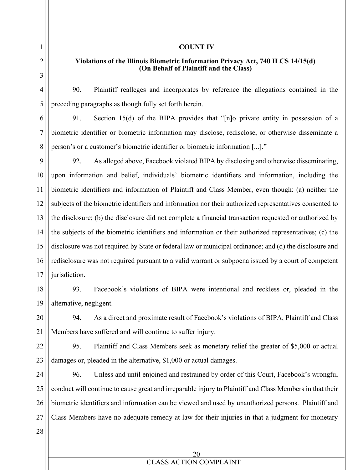#### **COUNT IV**

## **Violations of the Illinois Biometric Information Privacy Act, 740 ILCS 14/15(d) (On Behalf of Plaintiff and the Class)**

90. Plaintiff realleges and incorporates by reference the allegations contained in the preceding paragraphs as though fully set forth herein.

91. Section 15(d) of the BIPA provides that "[n]o private entity in possession of a biometric identifier or biometric information may disclose, redisclose, or otherwise disseminate a person's or a customer's biometric identifier or biometric information [...]."

92. As alleged above, Facebook violated BIPA by disclosing and otherwise disseminating, upon information and belief, individuals' biometric identifiers and information, including the biometric identifiers and information of Plaintiff and Class Member, even though: (a) neither the subjects of the biometric identifiers and information nor their authorized representatives consented to the disclosure; (b) the disclosure did not complete a financial transaction requested or authorized by the subjects of the biometric identifiers and information or their authorized representatives; (c) the disclosure was not required by State or federal law or municipal ordinance; and (d) the disclosure and redisclosure was not required pursuant to a valid warrant or subpoena issued by a court of competent jurisdiction.

19 93. Facebook's violations of BIPA were intentional and reckless or, pleaded in the alternative, negligent.

20 21 94. As a direct and proximate result of Facebook's violations of BIPA, Plaintiff and Class Members have suffered and will continue to suffer injury.

22 23 95. Plaintiff and Class Members seek as monetary relief the greater of \$5,000 or actual damages or, pleaded in the alternative, \$1,000 or actual damages.

24 25 26 27 96. Unless and until enjoined and restrained by order of this Court, Facebook's wrongful conduct will continue to cause great and irreparable injury to Plaintiff and Class Members in that their biometric identifiers and information can be viewed and used by unauthorized persons. Plaintiff and Class Members have no adequate remedy at law for their injuries in that a judgment for monetary

28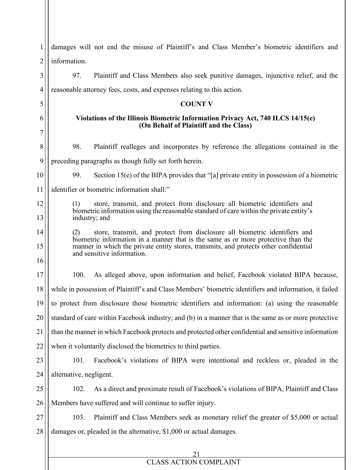| 1              | damages will not end the misuse of Plaintiff's and Class Member's biometric identifiers and                                                                                                                                                                                                   |  |
|----------------|-----------------------------------------------------------------------------------------------------------------------------------------------------------------------------------------------------------------------------------------------------------------------------------------------|--|
| $\overline{c}$ | information.                                                                                                                                                                                                                                                                                  |  |
| 3              | 97.<br>Plaintiff and Class Members also seek punitive damages, injunctive relief, and the                                                                                                                                                                                                     |  |
| $\overline{4}$ | reasonable attorney fees, costs, and expenses relating to this action.                                                                                                                                                                                                                        |  |
| 5              | <b>COUNT V</b>                                                                                                                                                                                                                                                                                |  |
| 6<br>7         | Violations of the Illinois Biometric Information Privacy Act, 740 ILCS 14/15(e)<br>(On Behalf of Plaintiff and the Class)                                                                                                                                                                     |  |
| 8              | 98.<br>Plaintiff realleges and incorporates by reference the allegations contained in the                                                                                                                                                                                                     |  |
| 9              | preceding paragraphs as though fully set forth herein.                                                                                                                                                                                                                                        |  |
| 10             | 99.<br>Section 15(e) of the BIPA provides that "[a] private entity in possession of a biometric                                                                                                                                                                                               |  |
| 11             | identifier or biometric information shall:"                                                                                                                                                                                                                                                   |  |
| 12             | store, transmit, and protect from disclosure all biometric identifiers and<br>(1)                                                                                                                                                                                                             |  |
| 13             | biometric information using the reasonable standard of care within the private entity's<br>industry; and                                                                                                                                                                                      |  |
| 14             | store, transmit, and protect from disclosure all biometric identifiers and<br>(2)<br>biometric information in a manner that is the same as or more protective than the<br>manner in which the private entity stores, transmits, and protects other confidential<br>and sensitive information. |  |
| 15             |                                                                                                                                                                                                                                                                                               |  |
| 16             |                                                                                                                                                                                                                                                                                               |  |
| 17             | 100.<br>As alleged above, upon information and belief, Facebook violated BIPA because,                                                                                                                                                                                                        |  |
| 18             | while in possession of Plaintiff's and Class Members' biometric identifiers and information, it failed                                                                                                                                                                                        |  |
| 19             | to protect from disclosure those biometric identifiers and information: (a) using the reasonable                                                                                                                                                                                              |  |
| 20             | standard of care within Facebook industry; and (b) in a manner that is the same as or more protective                                                                                                                                                                                         |  |
| 21             | than the manner in which Facebook protects and protected other confidential and sensitive information                                                                                                                                                                                         |  |
| 22             | when it voluntarily disclosed the biometrics to third parties.                                                                                                                                                                                                                                |  |
| 23             | 101.<br>Facebook's violations of BIPA were intentional and reckless or, pleaded in the                                                                                                                                                                                                        |  |
| 24             | alternative, negligent.                                                                                                                                                                                                                                                                       |  |
| 25             | As a direct and proximate result of Facebook's violations of BIPA, Plaintiff and Class<br>102.                                                                                                                                                                                                |  |
| 26             | Members have suffered and will continue to suffer injury.                                                                                                                                                                                                                                     |  |
| 27             | 103.<br>Plaintiff and Class Members seek as monetary relief the greater of \$5,000 or actual                                                                                                                                                                                                  |  |
| 28             | damages or, pleaded in the alternative, \$1,000 or actual damages.                                                                                                                                                                                                                            |  |
|                |                                                                                                                                                                                                                                                                                               |  |
|                |                                                                                                                                                                                                                                                                                               |  |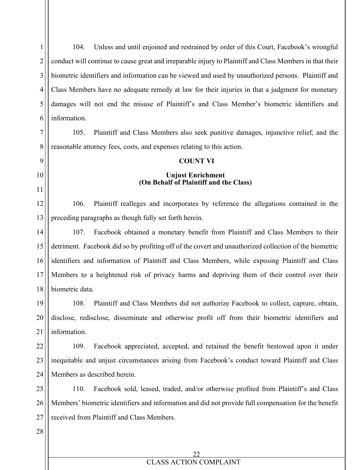1 2 3 4 5 6 104. Unless and until enjoined and restrained by order of this Court, Facebook's wrongful conduct will continue to cause great and irreparable injury to Plaintiff and Class Members in that their biometric identifiers and information can be viewed and used by unauthorized persons. Plaintiff and Class Members have no adequate remedy at law for their injuries in that a judgment for monetary damages will not end the misuse of Plaintiff's and Class Member's biometric identifiers and information.

7 8 105. Plaintiff and Class Members also seek punitive damages, injunctive relief, and the reasonable attorney fees, costs, and expenses relating to this action.

#### **COUNT VI**

## **Unjust Enrichment (On Behalf of Plaintiff and the Class)**

12 13 106. Plaintiff realleges and incorporates by reference the allegations contained in the preceding paragraphs as though fully set forth herein.

14 15 16 17 18 107. Facebook obtained a monetary benefit from Plaintiff and Class Members to their detriment. Facebook did so by profiting off of the covert and unauthorized collection of the biometric identifiers and information of Plaintiff and Class Members, while exposing Plaintiff and Class Members to a heightened risk of privacy harms and depriving them of their control over their biometric data.

19 20 21 108. Plaintiff and Class Members did not authorize Facebook to collect, capture, obtain, disclose, redisclose, disseminate and otherwise profit off from their biometric identifiers and information.

22 23 24 109. Facebook appreciated, accepted, and retained the benefit bestowed upon it under inequitable and unjust circumstances arising from Facebook's conduct toward Plaintiff and Class Members as described herein.

25 26 27 110. Facebook sold, leased, traded, and/or otherwise profited from Plaintiff's and Class Members' biometric identifiers and information and did not provide full compensation for the benefit received from Plaintiff and Class Members.

28

9

10

11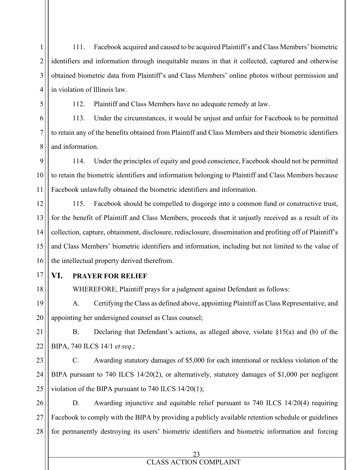111. Facebook acquired and caused to be acquired Plaintiff's and Class Members' biometric identifiers and information through inequitable means in that it collected, captured and otherwise obtained biometric data from Plaintiff's and Class Members' online photos without permission and in violation of Illinois law.

1

2

3

4

5

6

7

8

17

18

112. Plaintiff and Class Members have no adequate remedy at law.

113. Under the circumstances, it would be unjust and unfair for Facebook to be permitted to retain any of the benefits obtained from Plaintiff and Class Members and their biometric identifiers and information.

9 10 11 114. Under the principles of equity and good conscience, Facebook should not be permitted to retain the biometric identifiers and information belonging to Plaintiff and Class Members because Facebook unlawfully obtained the biometric identifiers and information.

12 13 14 15 16 115. Facebook should be compelled to disgorge into a common fund or constructive trust, for the benefit of Plaintiff and Class Members, proceeds that it unjustly received as a result of its collection, capture, obtainment, disclosure, redisclosure, dissemination and profiting off of Plaintiff's and Class Members' biometric identifiers and information, including but not limited to the value of the intellectual property derived therefrom.

**VI. PRAYER FOR RELIEF**

WHEREFORE, Plaintiff prays for a judgment against Defendant as follows:

19 20 A. Certifying the Class as defined above, appointing Plaintiff as Class Representative, and appointing her undersigned counsel as Class counsel;

21 22 B. Declaring that Defendant's actions, as alleged above, violate §15(a) and (b) of the BIPA, 740 ILCS 14/1 *et seq*.;

23 24 25 C. Awarding statutory damages of \$5,000 for each intentional or reckless violation of the BIPA pursuant to 740 ILCS 14/20(2), or alternatively, statutory damages of \$1,000 per negligent violation of the BIPA pursuant to 740 ILCS 14/20(1);

26 27 28 D. Awarding injunctive and equitable relief pursuant to 740 ILCS 14/20(4) requiring Facebook to comply with the BIPA by providing a publicly available retention schedule or guidelines for permanently destroying its users' biometric identifiers and biometric information and forcing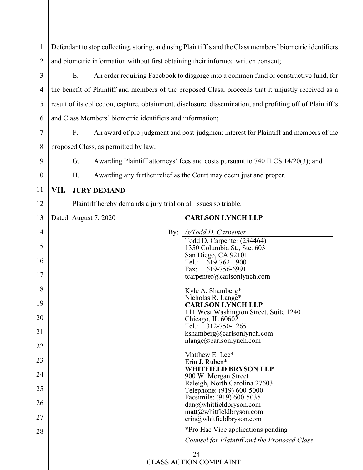| $\mathbf{1}$   | Defendant to stop collecting, storing, and using Plaintiff's and the Class members' biometric identifiers  |  |
|----------------|------------------------------------------------------------------------------------------------------------|--|
| $\overline{2}$ | and biometric information without first obtaining their informed written consent;                          |  |
| 3              | An order requiring Facebook to disgorge into a common fund or constructive fund, for<br>Ε.                 |  |
| 4              | the benefit of Plaintiff and members of the proposed Class, proceeds that it unjustly received as a        |  |
| 5              | result of its collection, capture, obtainment, disclosure, dissemination, and profiting off of Plaintiff's |  |
| 6              | and Class Members' biometric identifiers and information;                                                  |  |
| $\overline{7}$ | F.<br>An award of pre-judgment and post-judgment interest for Plaintiff and members of the                 |  |
| 8              | proposed Class, as permitted by law;                                                                       |  |
| 9              | G.<br>Awarding Plaintiff attorneys' fees and costs pursuant to 740 ILCS 14/20(3); and                      |  |
| 10             | Awarding any further relief as the Court may deem just and proper.<br>Н.                                   |  |
| 11             | VII.<br><b>JURY DEMAND</b>                                                                                 |  |
| 12             | Plaintiff hereby demands a jury trial on all issues so triable.                                            |  |
| 13             | <b>CARLSON LYNCH LLP</b><br>Dated: August 7, 2020                                                          |  |
| 14             | /s/Todd D. Carpenter<br>$\gamma$ :                                                                         |  |
| 15             | Todd D. Carpenter (234464)<br>1350 Columbia St., Ste. 603                                                  |  |
| 16             | San Diego, CA 92101<br>Tel:<br>619-762-1900                                                                |  |
| 17             | 619-756-6991<br>Fax:<br>$t \ncarpenter@carlsonlynch.com$                                                   |  |
| 18             | Kyle A. Shamberg*                                                                                          |  |
| 19             | Nicholas R. Lange*<br><b>CARLSON LYNCH LLP</b>                                                             |  |
| 20             | 111 West Washington Street, Suite 1240<br>Chicago, IL 60602                                                |  |
| 21             | Tel.: 312-750-1265<br>kshamberg@carlsonlynch.com                                                           |  |
| 22             | $n$ lange@carlsonlynch.com                                                                                 |  |
| 23             | Matthew E. Lee*<br>Erin J. Ruben*                                                                          |  |
| 24             | <b>WHITFIELD BRYSON LLP</b><br>900 W. Morgan Street                                                        |  |
| 25             | Raleigh, North Carolina 27603<br>Telephone: (919) 600-5000                                                 |  |
| 26             | Facsimile: (919) 600-5035<br>dan@whitfieldbryson.com                                                       |  |
| 27             | $\text{matt}(\omega)$ whitfieldbryson.com<br>$erin@$ whitfieldbryson.com                                   |  |
| 28             | *Pro Hac Vice applications pending                                                                         |  |
|                | Counsel for Plaintiff and the Proposed Class                                                               |  |
|                | 24                                                                                                         |  |
|                | <b>CLASS ACTION COMPLAINT</b>                                                                              |  |